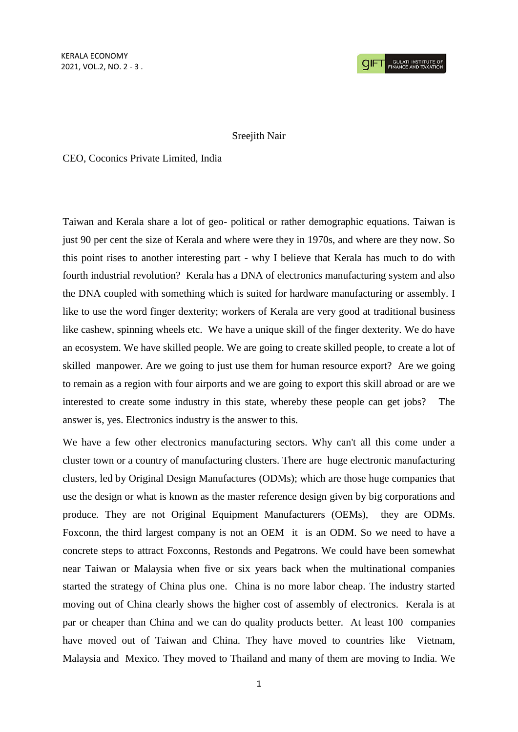## Sreejith Nair

CEO, Coconics Private Limited, India

Taiwan and Kerala share a lot of geo- political or rather demographic equations. Taiwan is just 90 per cent the size of Kerala and where were they in 1970s, and where are they now. So this point rises to another interesting part - why I believe that Kerala has much to do with fourth industrial revolution? Kerala has a DNA of electronics manufacturing system and also the DNA coupled with something which is suited for hardware manufacturing or assembly. I like to use the word finger dexterity; workers of Kerala are very good at traditional business like cashew, spinning wheels etc. We have a unique skill of the finger dexterity. We do have an ecosystem. We have skilled people. We are going to create skilled people, to create a lot of skilled manpower. Are we going to just use them for human resource export? Are we going to remain as a region with four airports and we are going to export this skill abroad or are we interested to create some industry in this state, whereby these people can get jobs? The answer is, yes. Electronics industry is the answer to this.

We have a few other electronics manufacturing sectors. Why can't all this come under a cluster town or a country of manufacturing clusters. There are huge electronic manufacturing clusters, led by Original Design Manufactures (ODMs); which are those huge companies that use the design or what is known as the master reference design given by big corporations and produce. They are not Original Equipment Manufacturers (OEMs), they are ODMs. Foxconn, the third largest company is not an OEM it is an ODM. So we need to have a concrete steps to attract Foxconns, Restonds and Pegatrons. We could have been somewhat near Taiwan or Malaysia when five or six years back when the multinational companies started the strategy of China plus one. China is no more labor cheap. The industry started moving out of China clearly shows the higher cost of assembly of electronics. Kerala is at par or cheaper than China and we can do quality products better. At least 100 companies have moved out of Taiwan and China. They have moved to countries like Vietnam, Malaysia and Mexico. They moved to Thailand and many of them are moving to India. We